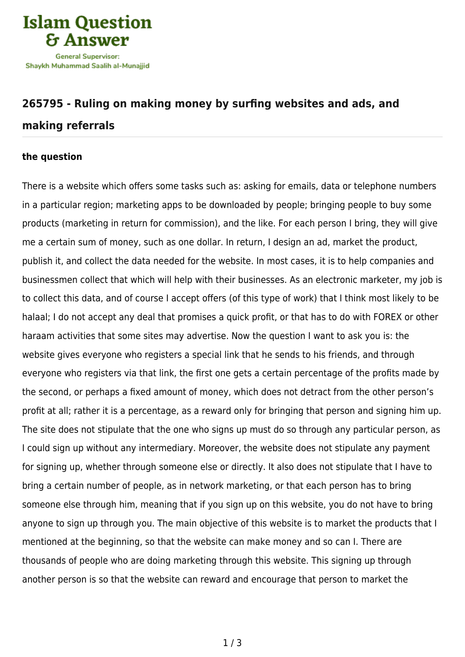

## **[265795 - Ruling on making money by surfing websites and ads, and](https://islamqa.com/en/answers/265795/ruling-on-making-money-by-surfing-websites-and-ads-and-making-referrals) [making referrals](https://islamqa.com/en/answers/265795/ruling-on-making-money-by-surfing-websites-and-ads-and-making-referrals)**

## **the question**

There is a website which offers some tasks such as: asking for emails, data or telephone numbers in a particular region; marketing apps to be downloaded by people; bringing people to buy some products (marketing in return for commission), and the like. For each person I bring, they will give me a certain sum of money, such as one dollar. In return, I design an ad, market the product, publish it, and collect the data needed for the website. In most cases, it is to help companies and businessmen collect that which will help with their businesses. As an electronic marketer, my job is to collect this data, and of course I accept offers (of this type of work) that I think most likely to be halaal; I do not accept any deal that promises a quick profit, or that has to do with FOREX or other haraam activities that some sites may advertise. Now the question I want to ask you is: the website gives everyone who registers a special link that he sends to his friends, and through everyone who registers via that link, the first one gets a certain percentage of the profits made by the second, or perhaps a fixed amount of money, which does not detract from the other person's profit at all; rather it is a percentage, as a reward only for bringing that person and signing him up. The site does not stipulate that the one who signs up must do so through any particular person, as I could sign up without any intermediary. Moreover, the website does not stipulate any payment for signing up, whether through someone else or directly. It also does not stipulate that I have to bring a certain number of people, as in network marketing, or that each person has to bring someone else through him, meaning that if you sign up on this website, you do not have to bring anyone to sign up through you. The main objective of this website is to market the products that I mentioned at the beginning, so that the website can make money and so can I. There are thousands of people who are doing marketing through this website. This signing up through another person is so that the website can reward and encourage that person to market the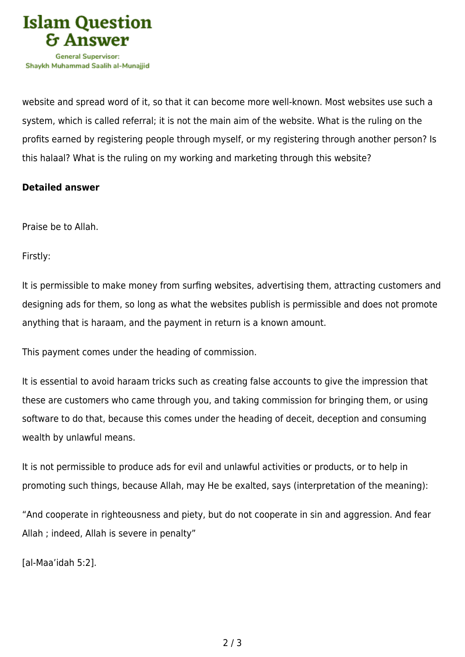

website and spread word of it, so that it can become more well-known. Most websites use such a system, which is called referral; it is not the main aim of the website. What is the ruling on the profits earned by registering people through myself, or my registering through another person? Is this halaal? What is the ruling on my working and marketing through this website?

## **Detailed answer**

Praise be to Allah.

Firstly:

It is permissible to make money from surfing websites, advertising them, attracting customers and designing ads for them, so long as what the websites publish is permissible and does not promote anything that is haraam, and the payment in return is a known amount.

This payment comes under the heading of commission.

It is essential to avoid haraam tricks such as creating false accounts to give the impression that these are customers who came through you, and taking commission for bringing them, or using software to do that, because this comes under the heading of deceit, deception and consuming wealth by unlawful means.

It is not permissible to produce ads for evil and unlawful activities or products, or to help in promoting such things, because Allah, may He be exalted, says (interpretation of the meaning):

"And cooperate in righteousness and piety, but do not cooperate in sin and aggression. And fear Allah ; indeed, Allah is severe in penalty"

[al-Maa'idah 5:2].